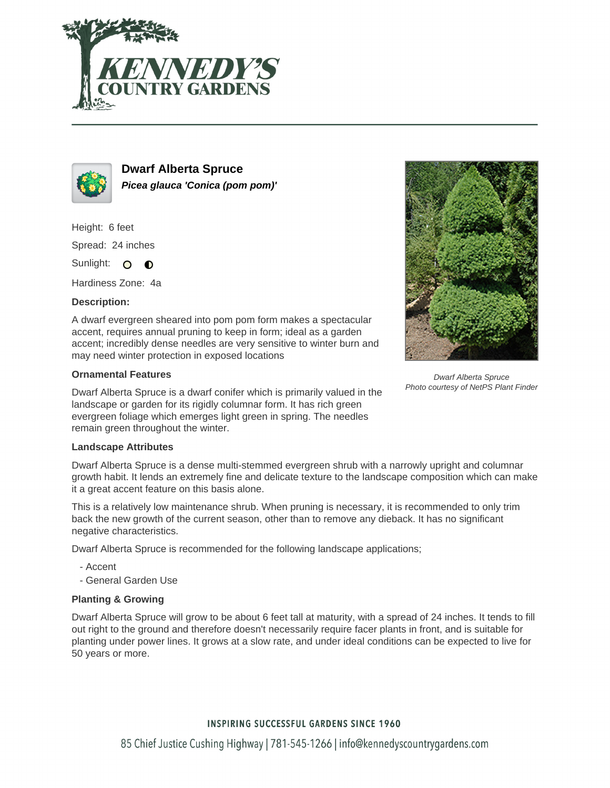



**Dwarf Alberta Spruce Picea glauca 'Conica (pom pom)'**

Height: 6 feet Spread: 24 inches Sunlight: O **O** 

Hardiness Zone: 4a

## **Description:**

A dwarf evergreen sheared into pom pom form makes a spectacular accent, requires annual pruning to keep in form; ideal as a garden accent; incredibly dense needles are very sensitive to winter burn and may need winter protection in exposed locations

## **Ornamental Features**

Dwarf Alberta Spruce is a dwarf conifer which is primarily valued in the landscape or garden for its rigidly columnar form. It has rich green evergreen foliage which emerges light green in spring. The needles remain green throughout the winter.

#### **Landscape Attributes**

Dwarf Alberta Spruce is a dense multi-stemmed evergreen shrub with a narrowly upright and columnar growth habit. It lends an extremely fine and delicate texture to the landscape composition which can make it a great accent feature on this basis alone.

This is a relatively low maintenance shrub. When pruning is necessary, it is recommended to only trim back the new growth of the current season, other than to remove any dieback. It has no significant negative characteristics.

Dwarf Alberta Spruce is recommended for the following landscape applications;

- Accent
- General Garden Use

# **Planting & Growing**

Dwarf Alberta Spruce will grow to be about 6 feet tall at maturity, with a spread of 24 inches. It tends to fill out right to the ground and therefore doesn't necessarily require facer plants in front, and is suitable for planting under power lines. It grows at a slow rate, and under ideal conditions can be expected to live for 50 years or more.



Dwarf Alberta Spruce Photo courtesy of NetPS Plant Finder

# **INSPIRING SUCCESSFUL GARDENS SINCE 1960**